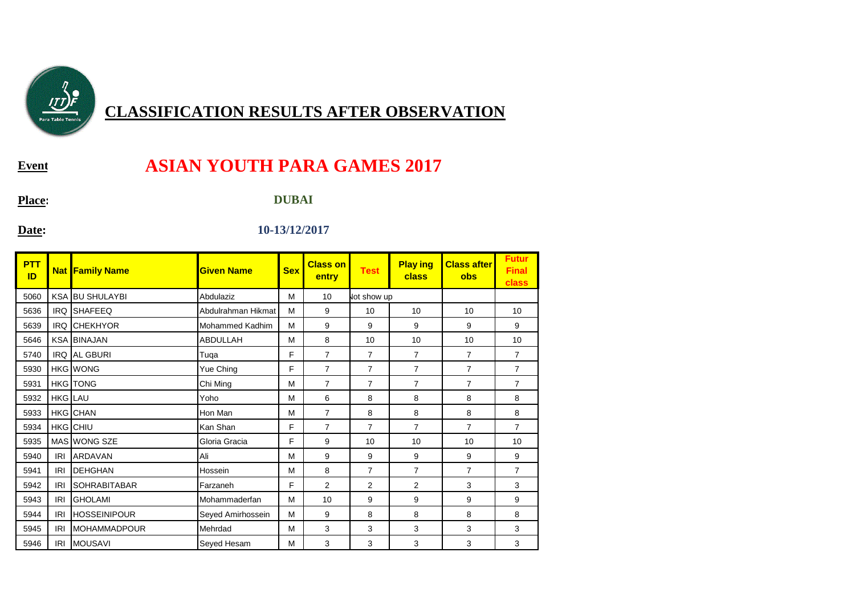

## **CLASSIFICATION RESULTS AFTER OBSERVATION**

**Event**:

## **ASIAN YOUTH PARA GAMES 2017**

**Place:**

**DUBAI**

**Date:**

## **10-13/12/2017**

| <b>PTT</b><br>ID |            | <b>Nat Family Name</b> | <b>Given Name</b>      | <b>Sex</b> | <b>Class on</b><br>entry | <b>Test</b>    | <b>Play ing</b><br>class | <b>Class after</b><br><b>obs</b> | <b>Futur</b><br><b>Final</b><br>class |
|------------------|------------|------------------------|------------------------|------------|--------------------------|----------------|--------------------------|----------------------------------|---------------------------------------|
| 5060             |            | <b>KSA BU SHULAYBI</b> | Abdulaziz              | M          | 10                       | lot show up    |                          |                                  |                                       |
| 5636             | <b>IRQ</b> | <b>SHAFEEQ</b>         | Abdulrahman Hikmat     | M          | 9                        | 10             | 10                       | 10                               | 10                                    |
| 5639             | <b>IRQ</b> | <b>CHEKHYOR</b>        | <b>Mohammed Kadhim</b> | M          | 9                        | 9              | 9                        | 9                                | 9                                     |
| 5646             |            | <b>KSA BINAJAN</b>     | <b>ABDULLAH</b>        | M          | 8                        | 10             | 10                       | 10                               | 10                                    |
| 5740             |            | IRQ AL GBURI           | Tuga                   | F          | 7                        | 7              | $\overline{7}$           | $\overline{7}$                   | $\overline{7}$                        |
| 5930             |            | <b>HKG</b> WONG        | Yue Ching              | F          | $\overline{7}$           | 7              | $\overline{7}$           | $\overline{7}$                   | $\overline{7}$                        |
| 5931             |            | <b>HKG</b> TONG        | Chi Ming               | M          | 7                        | $\overline{7}$ | $\overline{7}$           | $\overline{7}$                   | $\overline{7}$                        |
| 5932             | HKG LAU    |                        | Yoho                   | M          | 6                        | 8              | 8                        | 8                                | 8                                     |
| 5933             |            | <b>HKG</b> CHAN        | Hon Man                | M          | $\overline{7}$           | 8              | 8                        | 8                                | 8                                     |
| 5934             |            | HKG CHIU               | Kan Shan               | F          | $\overline{7}$           | $\overline{7}$ | $\overline{7}$           | $\overline{7}$                   | $\overline{7}$                        |
| 5935             |            | MAS WONG SZE           | Gloria Gracia          | F          | 9                        | 10             | 10                       | 10                               | 10                                    |
| 5940             | <b>IRI</b> | <b>ARDAVAN</b>         | Ali                    | M          | 9                        | 9              | 9                        | 9                                | 9                                     |
| 5941             | <b>IRI</b> | <b>IDEHGHAN</b>        | Hossein                | M          | 8                        | 7              | $\overline{7}$           | $\overline{7}$                   | $\overline{7}$                        |
| 5942             | <b>IRI</b> | <b>SOHRABITABAR</b>    | Farzaneh               | F          | $\overline{2}$           | 2              | $\overline{2}$           | 3                                | 3                                     |
| 5943             | <b>IRI</b> | <b>GHOLAMI</b>         | Mohammaderfan          | M          | 10                       | 9              | 9                        | 9                                | 9                                     |
| 5944             | <b>IRI</b> | <b>HOSSEINIPOUR</b>    | Seyed Amirhossein      | М          | 9                        | 8              | 8                        | 8                                | 8                                     |
| 5945             | <b>IRI</b> | <b>IMOHAMMADPOUR</b>   | Mehrdad                | M          | 3                        | 3              | 3                        | 3                                | 3                                     |
| 5946             | <b>IRI</b> | <b>MOUSAVI</b>         | Seyed Hesam            | M          | 3                        | 3              | 3                        | 3                                | 3                                     |